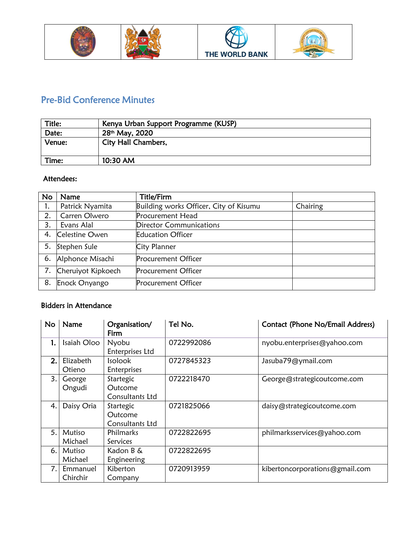





# Pre-Bid Conference Minutes

| Title: | Kenya Urban Support Programme (KUSP) |  |  |
|--------|--------------------------------------|--|--|
| Date:  | 28 <sup>th</sup> May, 2020           |  |  |
| Venue: | <b>City Hall Chambers,</b>           |  |  |
| Time:  | 10:30 AM                             |  |  |

#### Attendees:

| <b>No</b> | Name               | <b>Title/Firm</b>                      |          |
|-----------|--------------------|----------------------------------------|----------|
| 1.        | Patrick Nyamita    | Building works Officer, City of Kisumu | Chairing |
| 2.        | Carren Olwero      | <b>Procurement Head</b>                |          |
| 3.        | Evans Alal         | Director Communications                |          |
| 4.        | Celestine Owen     | <b>Education Officer</b>               |          |
| 5.        | Stephen Sule       | City Planner                           |          |
| 6.        | Alphonce Misachi   | <b>Procurement Officer</b>             |          |
| 7.        | Cheruiyot Kipkoech | <b>Procurement Officer</b>             |          |
| 8.        | Enock Onyango      | <b>Procurement Officer</b>             |          |

## Bidders in Attendance

| <b>No</b> | Name        | Organisation/<br>Firm | Tel No.    | Contact (Phone No/Email Address) |
|-----------|-------------|-----------------------|------------|----------------------------------|
| 1.        | Isaiah Oloo | Nyobu                 | 0722992086 | nyobu.enterprises@yahoo.com      |
|           |             | Enterprises Ltd       |            |                                  |
| 2.        | Elizabeth   | <b>Isolook</b>        | 0727845323 | Jasuba79@ymail.com               |
|           | Otieno      | Enterprises           |            |                                  |
| 3.1       | George      | Startegic             | 0722218470 | George@strategicoutcome.com      |
|           | Ongudi      | Outcome               |            |                                  |
|           |             | Consultants Ltd       |            |                                  |
| 4.        | Daisy Oria  | Startegic             | 0721825066 | daisy@strategicoutcome.com       |
|           |             | Outcome               |            |                                  |
|           |             | Consultants Ltd       |            |                                  |
| 5.        | Mutiso      | Philmarks             | 0722822695 | philmarksservices@yahoo.com      |
|           | Michael     | Services              |            |                                  |
| 6.        | Mutiso      | Kadon B &             | 0722822695 |                                  |
|           | Michael     | Engineering           |            |                                  |
| 7.1       | Emmanuel    | Kiberton              | 0720913959 | kibertoncorporations@gmail.com   |
|           | Chirchir    | Company               |            |                                  |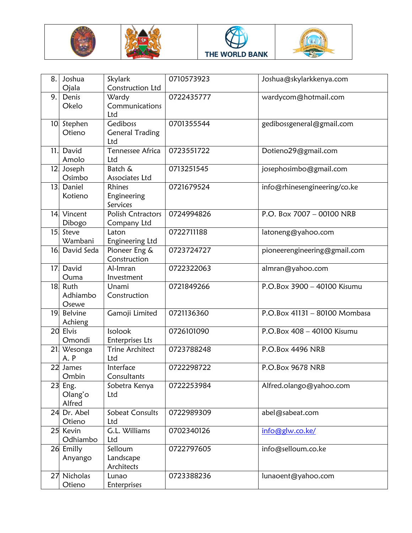







| 8.              | Joshua                | Skylark                   | 0710573923 | Joshua@skylarkkenya.com       |
|-----------------|-----------------------|---------------------------|------------|-------------------------------|
| 9.              | Ojala                 | Construction Ltd<br>Wardy | 0722435777 |                               |
|                 | Denis<br>Okelo        | Communications            |            | wardycom@hotmail.com          |
|                 |                       | Ltd                       |            |                               |
|                 | 10 Stephen            | Gediboss                  | 0701355544 | gedibossgeneral@gmail.com     |
|                 | Otieno                | <b>General Trading</b>    |            |                               |
|                 |                       | Ltd                       |            |                               |
| 11.             | David                 | <b>Tennessee Africa</b>   | 0723551722 | Dotieno29@gmail.com           |
|                 | Amolo                 | Ltd                       |            |                               |
|                 | 12 Joseph             | Batch &                   | 0713251545 | josephosimbo@gmail.com        |
|                 | Osimbo                | Associates Ltd            |            |                               |
| 13 <sub>1</sub> | Daniel                | Rhines                    | 0721679524 | info@rhinesengineering/co.ke  |
|                 | Kotieno               | Engineering               |            |                               |
|                 |                       | Services                  |            |                               |
|                 | 14 Vincent            | <b>Polish Cntractors</b>  | 0724994826 | P.O. Box 7007 - 00100 NRB     |
|                 | Dibogo                | Company Ltd               |            |                               |
| 15 <sub>1</sub> | Steve                 | Laton                     | 0722711188 | latoneng@yahoo.com            |
|                 | Wambani               | Engineering Ltd           |            |                               |
| 16.             | David Seda            | Pioneer Eng &             | 0723724727 | pioneerengineering@gmail.com  |
|                 |                       | Construction              |            |                               |
| 17.             | David                 | Al-Imran                  | 0722322063 | almran@yahoo.com              |
| 18.             | Ouma<br>Ruth          | Investment<br>Unami       | 0721849266 | P.O.Box 3900 - 40100 Kisumu   |
|                 | Adhiambo              | Construction              |            |                               |
|                 | Osewe                 |                           |            |                               |
| 19              | Belvine               | Gamoji Limited            | 0721136360 | P.O.Box 41131 - 80100 Mombasa |
|                 | Achieng               |                           |            |                               |
|                 |                       |                           |            |                               |
|                 | 20 Elvis              | Isolook                   | 0726101090 | P.O.Box 408 - 40100 Kisumu    |
|                 | Omondi                | Enterprises Lts           |            |                               |
|                 | 21. Wesonga           | <b>Trine Architect</b>    | 0723788248 | P.O.Box 4496 NRB              |
|                 | A.P                   | Ltd                       |            |                               |
| 22              | James                 | Interface                 | 0722298722 | P.O.Box 9678 NRB              |
|                 | Ombin                 | Consultants               |            |                               |
| 23              | Eng.                  | Sobetra Kenya             | 0722253984 | Alfred.olango@yahoo.com       |
|                 | Olang'o               | Ltd                       |            |                               |
|                 | Alfred                |                           |            |                               |
|                 | 24 Dr. Abel           | Sobeat Consults           | 0722989309 | abel@sabeat.com               |
|                 | Otieno                | Ltd                       |            |                               |
|                 | 25 Kevin              | G.L. Williams             | 0702340126 | info@glw.co.ke/               |
|                 | Odhiambo              | Ltd                       |            |                               |
|                 | 26 Emilly             | Selloum                   | 0722797605 | info@selloum.co.ke            |
|                 | Anyango               | Landscape                 |            |                               |
|                 |                       | Architects                |            |                               |
|                 | 27 Nicholas<br>Otieno | Lunao<br>Enterprises      | 0723388236 | lunaoent@yahoo.com            |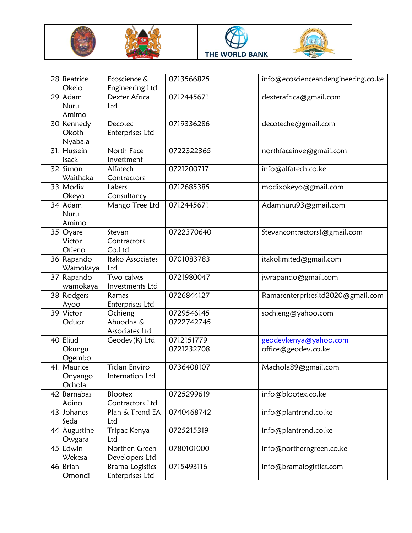







| 28 | <b>Beatrice</b><br>Okelo       | Ecoscience &<br>Engineering Ltd           | 0713566825               | info@ecoscienceandengineering.co.ke          |
|----|--------------------------------|-------------------------------------------|--------------------------|----------------------------------------------|
|    | 29 Adam<br>Nuru<br>Amimo       | Dexter Africa<br>Ltd                      | 0712445671               | dexterafrica@gmail.com                       |
|    | 30 Kennedy<br>Okoth<br>Nyabala | Decotec<br>Enterprises Ltd                | 0719336286               | decoteche@gmail.com                          |
| 31 | Hussein<br><b>Isack</b>        | North Face<br>Investment                  | 0722322365               | northfaceinve@gmail.com                      |
|    | 32 Simon<br>Waithaka           | Alfatech<br>Contractors                   | 0721200717               | info@alfatech.co.ke                          |
|    | 33 Modix<br>Okeyo              | Lakers<br>Consultancy                     | 0712685385               | modixokeyo@gmail.com                         |
|    | 34 Adam<br>Nuru<br>Amimo       | Mango Tree Ltd                            | 0712445671               | Adamnuru93@gmail.com                         |
|    | 35 Oyare<br>Victor<br>Otieno   | Stevan<br>Contractors<br>Co.Ltd           | 0722370640               | Stevancontractors1@gmail.com                 |
|    | 36 Rapando<br>Wamokaya         | Itako Associates<br>Ltd                   | 0701083783               | itakolimited@gmail.com                       |
|    | 37 Rapando<br>wamokaya         | Two calves<br>Investments Ltd             | 0721980047               | jwrapando@gmail.com                          |
|    | 38 Rodgers<br>Ayoo             | Ramas<br>Enterprises Ltd                  | 0726844127               | RamasenterprisesItd2020@gmail.com            |
|    | 39 Victor<br>Oduor             | Ochieng<br>Abuodha &<br>Associates Ltd    | 0729546145<br>0722742745 | sochieng@yahoo.com                           |
|    | 40 Eliud<br>Okungu<br>Ogembo   | Geodev(K) Ltd                             | 0712151779<br>0721232708 | geodevkenya@yahoo.com<br>office@geodev.co.ke |
| 41 | Maurice<br>Onyango<br>Ochola   | Ticlan Enviro<br>Internation Ltd          | 0736408107               | Machola89@gmail.com                          |
|    | 42 Barnabas<br>Adino           | <b>Blootex</b><br>Contractors Ltd         | 0725299619               | info@blootex.co.ke                           |
|    | 43 Johanes<br>Seda             | Plan & Trend EA<br>Ltd                    | 0740468742               | info@plantrend.co.ke                         |
|    | 44 Augustine<br>Owgara         | Tripac Kenya<br>Ltd                       | 0725215319               | info@plantrend.co.ke                         |
|    | 45 Edwin<br>Wekesa             | Northen Green<br>Developers Ltd           | 0780101000               | info@northerngreen.co.ke                     |
|    | 46 Brian<br>Omondi             | <b>Brama Logistics</b><br>Enterprises Ltd | 0715493116               | info@bramalogistics.com                      |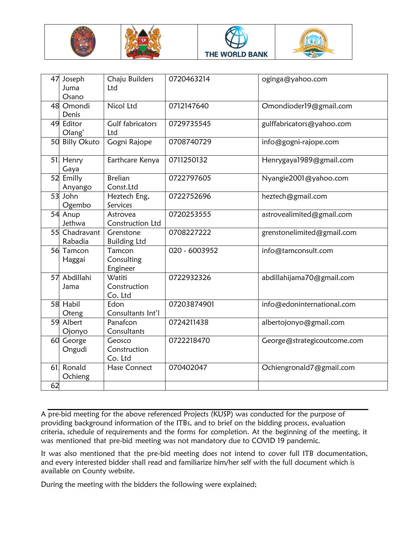







| 47  | Joseph<br>Juma<br>Osano  | Chaju Builders<br>Ltd             | 0720463214    | oginga@yahoo.com            |
|-----|--------------------------|-----------------------------------|---------------|-----------------------------|
|     | 48 Omondi<br>Denis       | Nicol Ltd                         | 0712147640    | Omondioder19@gmail.com      |
|     | 49 Editor<br>Olang'      | <b>Gulf fabricators</b><br>Ltd    | 0729735545    | gulffabricators@yahoo.com   |
|     | 50 Billy Okuto           | Gogni Rajope                      | 0708740729    | info@gogni-rajope.com       |
|     | 51 Henry<br>Gaya         | Earthcare Kenya                   | 0711250132    | Henrygaya1989@gmail.com     |
|     | 52 Emilly<br>Anyango     | <b>Brelian</b><br>Const.Ltd       | 0722797605    | Nyangie2001@yahoo.com       |
|     | 53 John<br>Ogembo        | Heztech Eng,<br>Services          | 0722752696    | heztech@gmail.com           |
|     | 54 Anup<br>Jethwa        | Astrovea<br>Construction Ltd      | 0720253555    | astrovealimited@gmail.com   |
|     | 55 Chadravant<br>Rabadia | Grenstone<br><b>Building Ltd</b>  | 0708227222    | grenstonelimited@gmail.com  |
|     | 56 Tamcon<br>Haggai      | Tamcon<br>Consulting<br>Engineer  | 020 - 6003952 | info@tamconsult.com         |
|     | 57 Abdillahi<br>Jama     | Watiti<br>Construction<br>Co. Ltd | 0722932326    | abdillahijama70@gmail.com   |
|     | 58 Habil<br>Oteng        | Edon<br>Consultants Int'l         | 07203874901   | info@edoninternational.com  |
|     | 59 Albert<br>Ojonyo      | Panafcon<br>Consultants           | 0724211438    | albertojonyo@gmail.com      |
|     | 60 George<br>Ongudi      | Geosco<br>Construction<br>Co. Ltd | 0722218470    | George@strategicoutcome.com |
| 61. | Ronald<br>Ochieng        | Hase Connect                      | 070402047     | Ochiengronald7@gmail.com    |
| 62  |                          |                                   |               |                             |

A pre-bid meeting for the above referenced Projects (KUSP) was conducted for the purpose of providing background information of the ITBs, and to brief on the bidding process, evaluation criteria, schedule of requirements and the forms for completion. At the beginning of the meeting, it was mentioned that pre-bid meeting was not mandatory due to COVID 19 pandemic.

It was also mentioned that the pre-bid meeting does not intend to cover full ITB documentation, and every interested bidder shall read and familiarize him/her self with the full document which is available on County website.

During the meeting with the bidders the following were explained;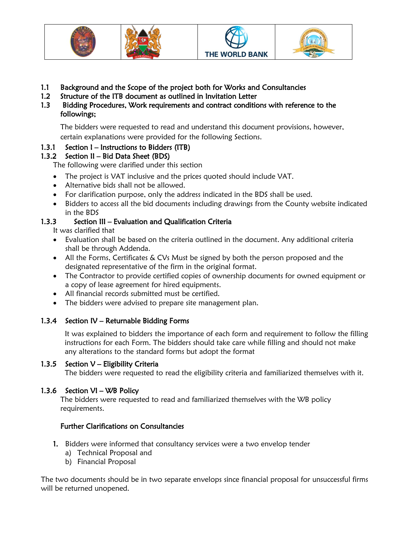





- 1.1 Background and the Scope of the project both for Works and Consultancies
- 1.2 Structure of the ITB document as outlined in Invitation Letter
- 1.3 Bidding Procedures, Work requirements and contract conditions with reference to the followings;

The bidders were requested to read and understand this document provisions, however,

certain explanations were provided for the following Sections.

### 1.3.1 Section I – Instructions to Bidders (ITB)

### 1.3.2 Section II – Bid Data Sheet (BDS)

The following were clarified under this section

- The project is VAT inclusive and the prices quoted should include VAT.
- Alternative bids shall not be allowed.
- For clarification purpose, only the address indicated in the BDS shall be used.
- Bidders to access all the bid documents including drawings from the County website indicated in the BDS

### 1.3.3Section III – Evaluation and Qualification Criteria

It was clarified that

- Evaluation shall be based on the criteria outlined in the document. Any additional criteria shall be through Addenda.
- All the Forms, Certificates & CVs Must be signed by both the person proposed and the designated representative of the firm in the original format.
- The Contractor to provide certified copies of ownership documents for owned equipment or a copy of lease agreement for hired equipments.
- All financial records submitted must be certified.
- The bidders were advised to prepare site management plan.

### 1.3.4 Section IV – Returnable Bidding Forms

It was explained to bidders the importance of each form and requirement to follow the filling instructions for each Form. The bidders should take care while filling and should not make any alterations to the standard forms but adopt the format

#### 1.3.5 Section  $V -$  Eligibility Criteria

The bidders were requested to read the eligibility criteria and familiarized themselves with it.

### 1.3.6 Section VI – WB Policy

The bidders were requested to read and familiarized themselves with the WB policy requirements.

### Further Clarifications on Consultancies

- 1. Bidders were informed that consultancy services were a two envelop tender
	- a) Technical Proposal and
	- b) Financial Proposal

The two documents should be in two separate envelops since financial proposal for unsuccessful firms will be returned unopened.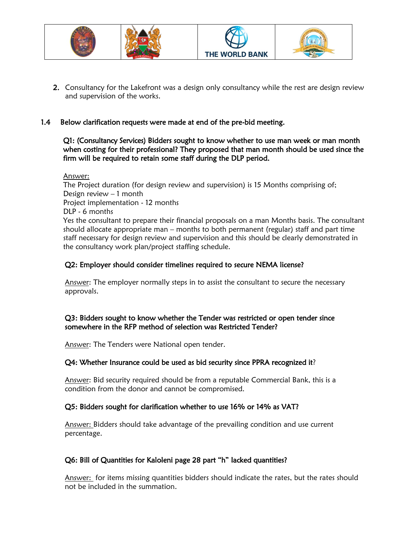

2. Consultancy for the Lakefront was a design only consultancy while the rest are design review and supervision of the works.

#### 1.4 Below clarification requests were made at end of the pre-bid meeting.

Q1: (Consultancy Services) Bidders sought to know whether to use man week or man month when costing for their professional? They proposed that man month should be used since the firm will be required to retain some staff during the DLP period.

Answer:

The Project duration (for design review and supervision) is 15 Months comprising of; Design review – 1 month Project implementation - 12 months DLP - 6 months Yes the consultant to prepare their financial proposals on a man Months basis. The consultant should allocate appropriate man – months to both permanent (regular) staff and part time staff necessary for design review and supervision and this should be clearly demonstrated in the consultancy work plan/project staffing schedule.

#### Q2: Employer should consider timelines required to secure NEMA license?

Answer: The employer normally steps in to assist the consultant to secure the necessary approvals.

#### Q3: Bidders sought to know whether the Tender was restricted or open tender since somewhere in the RFP method of selection was Restricted Tender?

Answer: The Tenders were National open tender.

#### Q4: Whether Insurance could be used as bid security since PPRA recognized it?

Answer: Bid security required should be from a reputable Commercial Bank, this is a condition from the donor and cannot be compromised.

#### Q5: Bidders sought for clarification whether to use 16% or 14% as VAT?

Answer: Bidders should take advantage of the prevailing condition and use current percentage.

#### Q6: Bill of Quantities for Kaloleni page 28 part "h" lacked quantities?

Answer: for items missing quantities bidders should indicate the rates, but the rates should not be included in the summation.